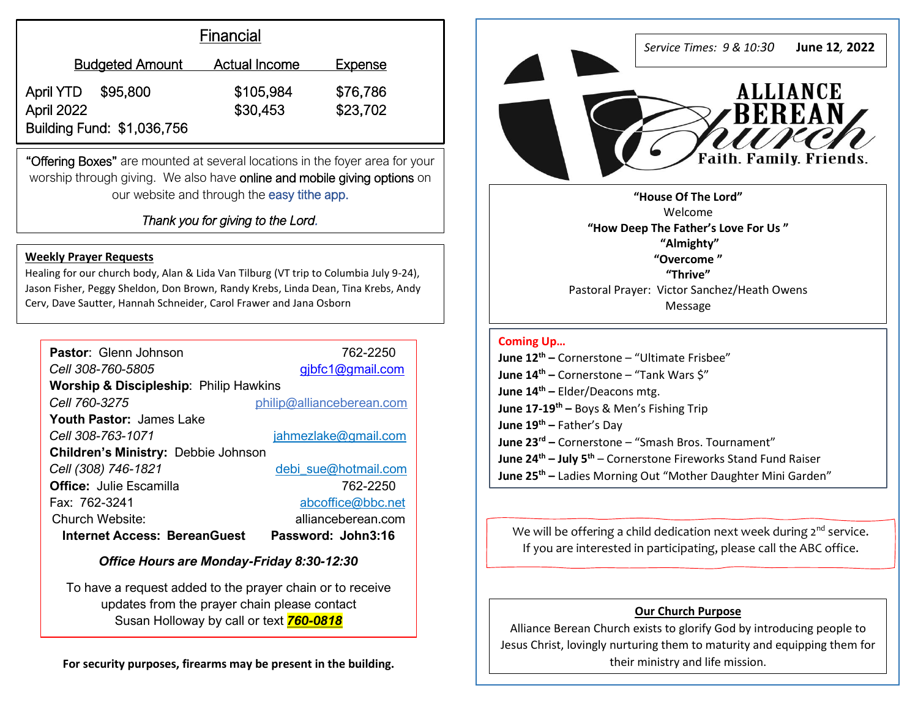| Financial                    |                      |                |
|------------------------------|----------------------|----------------|
| <b>Budgeted Amount</b>       | <b>Actual Income</b> | <b>Expense</b> |
| <b>April YTD</b><br>\$95,800 | \$105,984            | \$76,786       |
| <b>April 2022</b>            | \$30,453             | \$23,702       |
| Building Fund: \$1,036,756   |                      |                |

"Offering Boxes" are mounted at several locations in the foyer area for your worship through giving. We also have online and mobile giving options on our website and through the easy tithe app.

İ

*Thank you for giving to the Lord.* 

#### **Weekly Prayer Requests**

Healing for our church body, Alan & Lida Van Tilburg (VT trip to Columbia July 9-24), Jason Fisher, Peggy Sheldon, Don Brown, Randy Krebs, Linda Dean, Tina Krebs, Andy Cerv, Dave Sautter, Hannah Schneider, Carol Frawer and Jana Osborn

| Pastor: Glenn Johnson                             | 762-2250                  |  |  |
|---------------------------------------------------|---------------------------|--|--|
| Cell 308-760-5805                                 | gibfc1@gmail.com          |  |  |
| <b>Worship &amp; Discipleship:</b> Philip Hawkins |                           |  |  |
| Cell 760-3275                                     | philip@allianceberean.com |  |  |
| <b>Youth Pastor:</b> James Lake                   |                           |  |  |
| Cell 308-763-1071                                 | jahmezlake@gmail.com      |  |  |
| Children's Ministry: Debbie Johnson               |                           |  |  |
| Cell (308) 746-1821                               | debi_sue@hotmail.com      |  |  |
| <b>Office: Julie Escamilla</b>                    | 762-2250                  |  |  |
| Fax: 762-3241                                     | abcoffice@bbc.net         |  |  |
| Church Website:                                   | allianceberean.com        |  |  |
| <b>Internet Access: BereanGuest</b>               | Password: John3:16        |  |  |

## *Office Hours are Monday-Friday 8:30-12:30*

To have a request added to the prayer chain or to receive updates from the prayer chain please contact Susan Holloway by call or text *760-0818*

**For security purposes, firearms may be present in the building.**



**"How Deep The Father's Love For Us " "Almighty" "Overcome " "Thrive"**  Pastoral Prayer: Victor Sanchez/Heath Owens Message

# **Coming Up…**

**June 12 th –** Cornerstone – "Ultimate Frisbee" **June 14th –** Cornerstone – "Tank Wars \$" **June 14th –** Elder/Deacons mtg. **June 17-19th –** Boys & Men's Fishing Trip **June 19th –** Father's Day **June 23rd –** Cornerstone – "Smash Bros. Tournament" **June 24th – July 5th** – Cornerstone Fireworks Stand Fund Raiser **June 25th –** Ladies Morning Out "Mother Daughter Mini Garden"

We will be offering a child dedication next week during  $2^{nd}$  service. If you are interested in participating, please call the ABC office.

### **Our Church Purpose**

Alliance Berean Church exists to glorify God by introducing people to Jesus Christ, lovingly nurturing them to maturity and equipping them for their ministry and life mission.